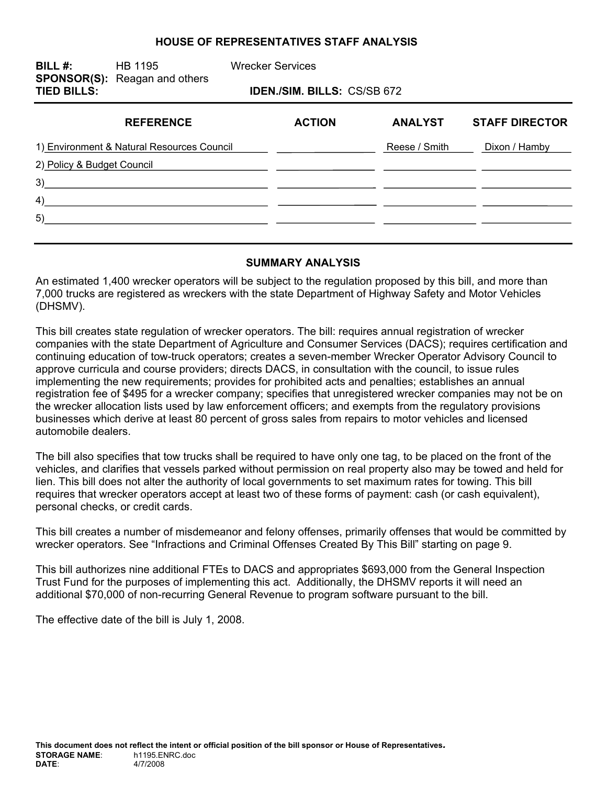#### **HOUSE OF REPRESENTATIVES STAFF ANALYSIS**

**BILL #:** HB 1195 Wrecker Services **SPONSOR(S):** Reagan and others **TIED BILLS: IDEN./SIM. BILLS:** CS/SB 672

| <b>REFERENCE</b>                           | <b>ACTION</b> | <b>ANALYST</b> | <b>STAFF DIRECTOR</b> |
|--------------------------------------------|---------------|----------------|-----------------------|
| 1) Environment & Natural Resources Council |               | Reese / Smith  | Dixon / Hamby         |
| 2) Policy & Budget Council                 |               |                |                       |
| 3)                                         |               |                |                       |
| 4)                                         |               |                |                       |
| 5)                                         |               |                |                       |
|                                            |               |                |                       |

### **SUMMARY ANALYSIS**

An estimated 1,400 wrecker operators will be subject to the regulation proposed by this bill, and more than 7,000 trucks are registered as wreckers with the state Department of Highway Safety and Motor Vehicles (DHSMV).

This bill creates state regulation of wrecker operators. The bill: requires annual registration of wrecker companies with the state Department of Agriculture and Consumer Services (DACS); requires certification and continuing education of tow-truck operators; creates a seven-member Wrecker Operator Advisory Council to approve curricula and course providers; directs DACS, in consultation with the council, to issue rules implementing the new requirements; provides for prohibited acts and penalties; establishes an annual registration fee of \$495 for a wrecker company; specifies that unregistered wrecker companies may not be on the wrecker allocation lists used by law enforcement officers; and exempts from the regulatory provisions businesses which derive at least 80 percent of gross sales from repairs to motor vehicles and licensed automobile dealers.

The bill also specifies that tow trucks shall be required to have only one tag, to be placed on the front of the vehicles, and clarifies that vessels parked without permission on real property also may be towed and held for lien. This bill does not alter the authority of local governments to set maximum rates for towing. This bill requires that wrecker operators accept at least two of these forms of payment: cash (or cash equivalent), personal checks, or credit cards.

This bill creates a number of misdemeanor and felony offenses, primarily offenses that would be committed by wrecker operators. See "Infractions and Criminal Offenses Created By This Bill" starting on page 9.

This bill authorizes nine additional FTEs to DACS and appropriates \$693,000 from the General Inspection Trust Fund for the purposes of implementing this act. Additionally, the DHSMV reports it will need an additional \$70,000 of non-recurring General Revenue to program software pursuant to the bill.

The effective date of the bill is July 1, 2008.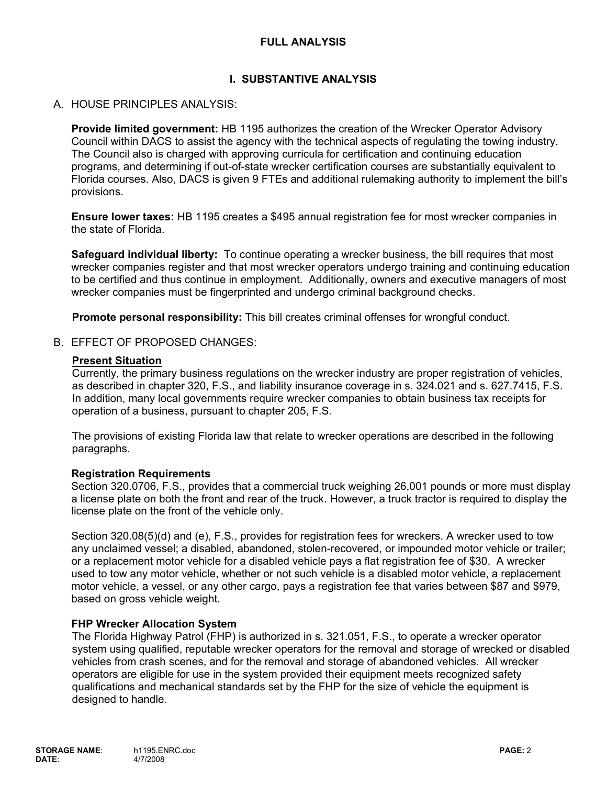## **FULL ANALYSIS**

# **I. SUBSTANTIVE ANALYSIS**

## A. HOUSE PRINCIPLES ANALYSIS:

**Provide limited government:** HB 1195 authorizes the creation of the Wrecker Operator Advisory Council within DACS to assist the agency with the technical aspects of regulating the towing industry. The Council also is charged with approving curricula for certification and continuing education programs, and determining if out-of-state wrecker certification courses are substantially equivalent to Florida courses. Also, DACS is given 9 FTEs and additional rulemaking authority to implement the bill's provisions.

**Ensure lower taxes:** HB 1195 creates a \$495 annual registration fee for most wrecker companies in the state of Florida.

**Safeguard individual liberty:** To continue operating a wrecker business, the bill requires that most wrecker companies register and that most wrecker operators undergo training and continuing education to be certified and thus continue in employment. Additionally, owners and executive managers of most wrecker companies must be fingerprinted and undergo criminal background checks.

**Promote personal responsibility:** This bill creates criminal offenses for wrongful conduct.

B. EFFECT OF PROPOSED CHANGES:

#### **Present Situation**

Currently, the primary business regulations on the wrecker industry are proper registration of vehicles, as described in chapter 320, F.S., and liability insurance coverage in s. 324.021 and s. 627.7415, F.S. In addition, many local governments require wrecker companies to obtain business tax receipts for operation of a business, pursuant to chapter 205, F.S.

The provisions of existing Florida law that relate to wrecker operations are described in the following paragraphs.

#### **Registration Requirements**

Section 320.0706, F.S., provides that a commercial truck weighing 26,001 pounds or more must display a license plate on both the front and rear of the truck. However, a truck tractor is required to display the license plate on the front of the vehicle only.

Section 320.08(5)(d) and (e), F.S., provides for registration fees for wreckers. A wrecker used to tow any unclaimed vessel; a disabled, abandoned, stolen-recovered, or impounded motor vehicle or trailer; or a replacement motor vehicle for a disabled vehicle pays a flat registration fee of \$30. A wrecker used to tow any motor vehicle, whether or not such vehicle is a disabled motor vehicle, a replacement motor vehicle, a vessel, or any other cargo, pays a registration fee that varies between \$87 and \$979, based on gross vehicle weight.

#### **FHP Wrecker Allocation System**

The Florida Highway Patrol (FHP) is authorized in s. 321.051, F.S., to operate a wrecker operator system using qualified, reputable wrecker operators for the removal and storage of wrecked or disabled vehicles from crash scenes, and for the removal and storage of abandoned vehicles. All wrecker operators are eligible for use in the system provided their equipment meets recognized safety qualifications and mechanical standards set by the FHP for the size of vehicle the equipment is designed to handle.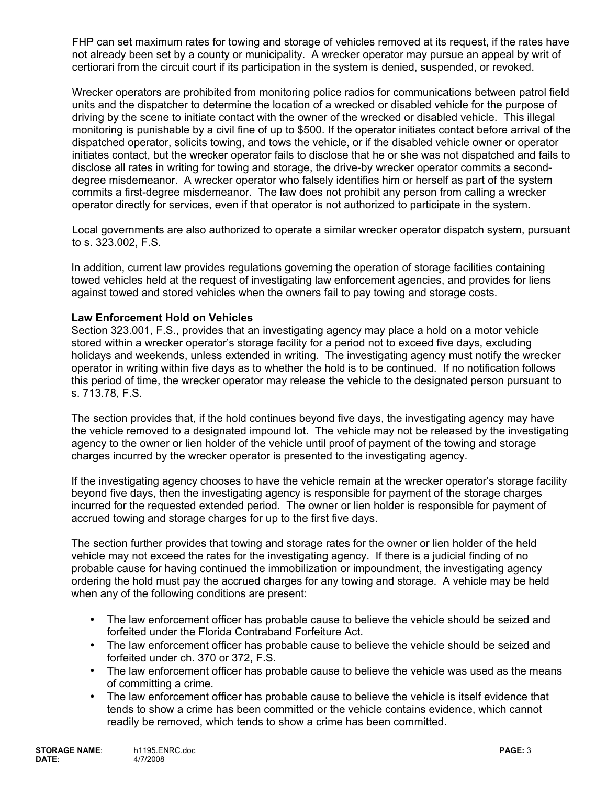FHP can set maximum rates for towing and storage of vehicles removed at its request, if the rates have not already been set by a county or municipality. A wrecker operator may pursue an appeal by writ of certiorari from the circuit court if its participation in the system is denied, suspended, or revoked.

Wrecker operators are prohibited from monitoring police radios for communications between patrol field units and the dispatcher to determine the location of a wrecked or disabled vehicle for the purpose of driving by the scene to initiate contact with the owner of the wrecked or disabled vehicle. This illegal monitoring is punishable by a civil fine of up to \$500. If the operator initiates contact before arrival of the dispatched operator, solicits towing, and tows the vehicle, or if the disabled vehicle owner or operator initiates contact, but the wrecker operator fails to disclose that he or she was not dispatched and fails to disclose all rates in writing for towing and storage, the drive-by wrecker operator commits a seconddegree misdemeanor. A wrecker operator who falsely identifies him or herself as part of the system commits a first-degree misdemeanor. The law does not prohibit any person from calling a wrecker operator directly for services, even if that operator is not authorized to participate in the system.

Local governments are also authorized to operate a similar wrecker operator dispatch system, pursuant to s. 323.002, F.S.

In addition, current law provides regulations governing the operation of storage facilities containing towed vehicles held at the request of investigating law enforcement agencies, and provides for liens against towed and stored vehicles when the owners fail to pay towing and storage costs.

### **Law Enforcement Hold on Vehicles**

Section 323.001, F.S., provides that an investigating agency may place a hold on a motor vehicle stored within a wrecker operator's storage facility for a period not to exceed five days, excluding holidays and weekends, unless extended in writing. The investigating agency must notify the wrecker operator in writing within five days as to whether the hold is to be continued. If no notification follows this period of time, the wrecker operator may release the vehicle to the designated person pursuant to s. 713.78, F.S.

The section provides that, if the hold continues beyond five days, the investigating agency may have the vehicle removed to a designated impound lot. The vehicle may not be released by the investigating agency to the owner or lien holder of the vehicle until proof of payment of the towing and storage charges incurred by the wrecker operator is presented to the investigating agency.

If the investigating agency chooses to have the vehicle remain at the wrecker operator's storage facility beyond five days, then the investigating agency is responsible for payment of the storage charges incurred for the requested extended period. The owner or lien holder is responsible for payment of accrued towing and storage charges for up to the first five days.

The section further provides that towing and storage rates for the owner or lien holder of the held vehicle may not exceed the rates for the investigating agency. If there is a judicial finding of no probable cause for having continued the immobilization or impoundment, the investigating agency ordering the hold must pay the accrued charges for any towing and storage. A vehicle may be held when any of the following conditions are present:

- The law enforcement officer has probable cause to believe the vehicle should be seized and forfeited under the Florida Contraband Forfeiture Act.
- The law enforcement officer has probable cause to believe the vehicle should be seized and forfeited under ch. 370 or 372, F.S.
- The law enforcement officer has probable cause to believe the vehicle was used as the means of committing a crime.
- The law enforcement officer has probable cause to believe the vehicle is itself evidence that tends to show a crime has been committed or the vehicle contains evidence, which cannot readily be removed, which tends to show a crime has been committed.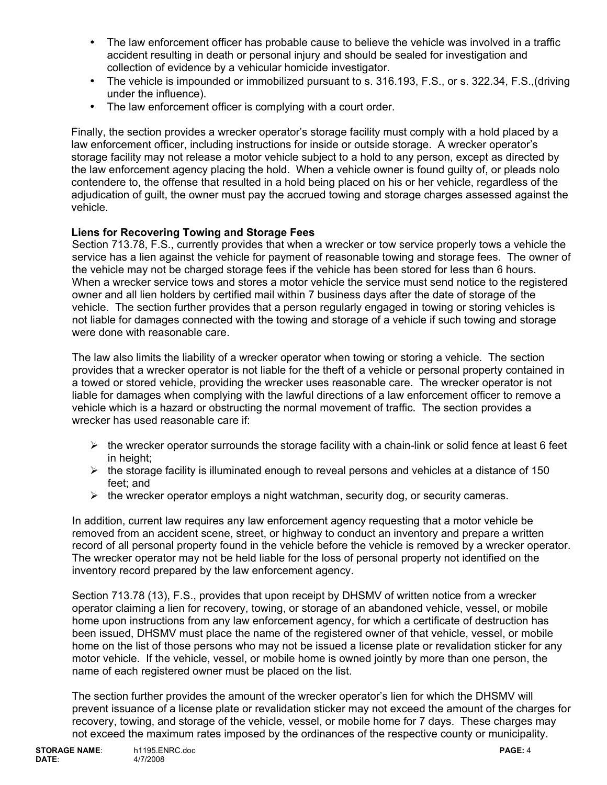- The law enforcement officer has probable cause to believe the vehicle was involved in a traffic accident resulting in death or personal injury and should be sealed for investigation and collection of evidence by a vehicular homicide investigator.
- The vehicle is impounded or immobilized pursuant to s. 316.193, F.S., or s. 322.34, F.S., (driving under the influence).
- The law enforcement officer is complying with a court order.

Finally, the section provides a wrecker operator's storage facility must comply with a hold placed by a law enforcement officer, including instructions for inside or outside storage. A wrecker operator's storage facility may not release a motor vehicle subject to a hold to any person, except as directed by the law enforcement agency placing the hold. When a vehicle owner is found guilty of, or pleads nolo contendere to, the offense that resulted in a hold being placed on his or her vehicle, regardless of the adjudication of guilt, the owner must pay the accrued towing and storage charges assessed against the vehicle.

# **Liens for Recovering Towing and Storage Fees**

Section 713.78, F.S., currently provides that when a wrecker or tow service properly tows a vehicle the service has a lien against the vehicle for payment of reasonable towing and storage fees. The owner of the vehicle may not be charged storage fees if the vehicle has been stored for less than 6 hours. When a wrecker service tows and stores a motor vehicle the service must send notice to the registered owner and all lien holders by certified mail within 7 business days after the date of storage of the vehicle. The section further provides that a person regularly engaged in towing or storing vehicles is not liable for damages connected with the towing and storage of a vehicle if such towing and storage were done with reasonable care.

The law also limits the liability of a wrecker operator when towing or storing a vehicle. The section provides that a wrecker operator is not liable for the theft of a vehicle or personal property contained in a towed or stored vehicle, providing the wrecker uses reasonable care. The wrecker operator is not liable for damages when complying with the lawful directions of a law enforcement officer to remove a vehicle which is a hazard or obstructing the normal movement of traffic. The section provides a wrecker has used reasonable care if:

- $\triangleright$  the wrecker operator surrounds the storage facility with a chain-link or solid fence at least 6 feet in height;
- $\triangleright$  the storage facility is illuminated enough to reveal persons and vehicles at a distance of 150 feet; and
- $\triangleright$  the wrecker operator employs a night watchman, security dog, or security cameras.

In addition, current law requires any law enforcement agency requesting that a motor vehicle be removed from an accident scene, street, or highway to conduct an inventory and prepare a written record of all personal property found in the vehicle before the vehicle is removed by a wrecker operator. The wrecker operator may not be held liable for the loss of personal property not identified on the inventory record prepared by the law enforcement agency.

Section 713.78 (13), F.S., provides that upon receipt by DHSMV of written notice from a wrecker operator claiming a lien for recovery, towing, or storage of an abandoned vehicle, vessel, or mobile home upon instructions from any law enforcement agency, for which a certificate of destruction has been issued, DHSMV must place the name of the registered owner of that vehicle, vessel, or mobile home on the list of those persons who may not be issued a license plate or revalidation sticker for any motor vehicle. If the vehicle, vessel, or mobile home is owned jointly by more than one person, the name of each registered owner must be placed on the list.

The section further provides the amount of the wrecker operator's lien for which the DHSMV will prevent issuance of a license plate or revalidation sticker may not exceed the amount of the charges for recovery, towing, and storage of the vehicle, vessel, or mobile home for 7 days. These charges may not exceed the maximum rates imposed by the ordinances of the respective county or municipality.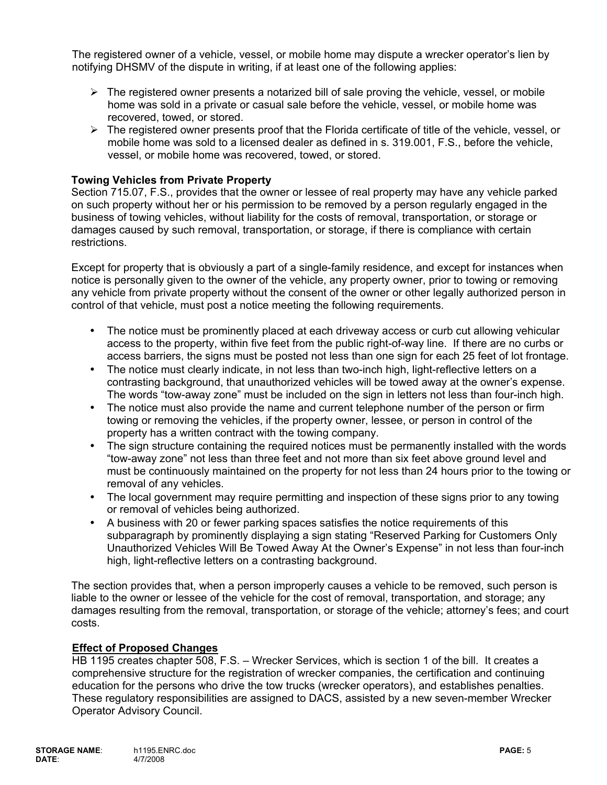The registered owner of a vehicle, vessel, or mobile home may dispute a wrecker operator's lien by notifying DHSMV of the dispute in writing, if at least one of the following applies:

- $\triangleright$  The registered owner presents a notarized bill of sale proving the vehicle, vessel, or mobile home was sold in a private or casual sale before the vehicle, vessel, or mobile home was recovered, towed, or stored.
- $\triangleright$  The registered owner presents proof that the Florida certificate of title of the vehicle, vessel, or mobile home was sold to a licensed dealer as defined in s. 319.001, F.S., before the vehicle, vessel, or mobile home was recovered, towed, or stored.

### **Towing Vehicles from Private Property**

Section 715.07, F.S., provides that the owner or lessee of real property may have any vehicle parked on such property without her or his permission to be removed by a person regularly engaged in the business of towing vehicles, without liability for the costs of removal, transportation, or storage or damages caused by such removal, transportation, or storage, if there is compliance with certain restrictions.

Except for property that is obviously a part of a single-family residence, and except for instances when notice is personally given to the owner of the vehicle, any property owner, prior to towing or removing any vehicle from private property without the consent of the owner or other legally authorized person in control of that vehicle, must post a notice meeting the following requirements.

- The notice must be prominently placed at each driveway access or curb cut allowing vehicular access to the property, within five feet from the public right-of-way line. If there are no curbs or access barriers, the signs must be posted not less than one sign for each 25 feet of lot frontage.
- The notice must clearly indicate, in not less than two-inch high, light-reflective letters on a contrasting background, that unauthorized vehicles will be towed away at the owner's expense. The words "tow-away zone" must be included on the sign in letters not less than four-inch high.
- The notice must also provide the name and current telephone number of the person or firm towing or removing the vehicles, if the property owner, lessee, or person in control of the property has a written contract with the towing company.
- The sign structure containing the required notices must be permanently installed with the words "tow-away zone" not less than three feet and not more than six feet above ground level and must be continuously maintained on the property for not less than 24 hours prior to the towing or removal of any vehicles.
- The local government may require permitting and inspection of these signs prior to any towing or removal of vehicles being authorized.
- A business with 20 or fewer parking spaces satisfies the notice requirements of this subparagraph by prominently displaying a sign stating "Reserved Parking for Customers Only Unauthorized Vehicles Will Be Towed Away At the Owner's Expense" in not less than four-inch high, light-reflective letters on a contrasting background.

The section provides that, when a person improperly causes a vehicle to be removed, such person is liable to the owner or lessee of the vehicle for the cost of removal, transportation, and storage; any damages resulting from the removal, transportation, or storage of the vehicle; attorney's fees; and court costs.

#### **Effect of Proposed Changes**

HB 1195 creates chapter 508, F.S. – Wrecker Services, which is section 1 of the bill. It creates a comprehensive structure for the registration of wrecker companies, the certification and continuing education for the persons who drive the tow trucks (wrecker operators), and establishes penalties. These regulatory responsibilities are assigned to DACS, assisted by a new seven-member Wrecker Operator Advisory Council.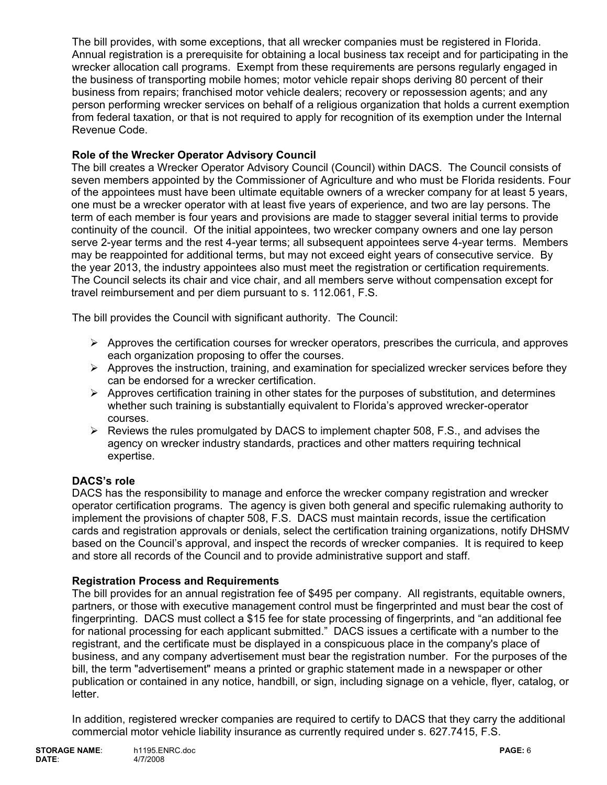The bill provides, with some exceptions, that all wrecker companies must be registered in Florida. Annual registration is a prerequisite for obtaining a local business tax receipt and for participating in the wrecker allocation call programs. Exempt from these requirements are persons regularly engaged in the business of transporting mobile homes; motor vehicle repair shops deriving 80 percent of their business from repairs; franchised motor vehicle dealers; recovery or repossession agents; and any person performing wrecker services on behalf of a religious organization that holds a current exemption from federal taxation, or that is not required to apply for recognition of its exemption under the Internal Revenue Code.

# **Role of the Wrecker Operator Advisory Council**

The bill creates a Wrecker Operator Advisory Council (Council) within DACS. The Council consists of seven members appointed by the Commissioner of Agriculture and who must be Florida residents. Four of the appointees must have been ultimate equitable owners of a wrecker company for at least 5 years, one must be a wrecker operator with at least five years of experience, and two are lay persons. The term of each member is four years and provisions are made to stagger several initial terms to provide continuity of the council. Of the initial appointees, two wrecker company owners and one lay person serve 2-year terms and the rest 4-year terms; all subsequent appointees serve 4-year terms. Members may be reappointed for additional terms, but may not exceed eight years of consecutive service. By the year 2013, the industry appointees also must meet the registration or certification requirements. The Council selects its chair and vice chair, and all members serve without compensation except for travel reimbursement and per diem pursuant to s. 112.061, F.S.

The bill provides the Council with significant authority. The Council:

- $\triangleright$  Approves the certification courses for wrecker operators, prescribes the curricula, and approves each organization proposing to offer the courses.
- $\triangleright$  Approves the instruction, training, and examination for specialized wrecker services before they can be endorsed for a wrecker certification.
- $\triangleright$  Approves certification training in other states for the purposes of substitution, and determines whether such training is substantially equivalent to Florida's approved wrecker-operator courses.
- $\triangleright$  Reviews the rules promulgated by DACS to implement chapter 508, F.S., and advises the agency on wrecker industry standards, practices and other matters requiring technical expertise.

# **DACS's role**

DACS has the responsibility to manage and enforce the wrecker company registration and wrecker operator certification programs. The agency is given both general and specific rulemaking authority to implement the provisions of chapter 508, F.S. DACS must maintain records, issue the certification cards and registration approvals or denials, select the certification training organizations, notify DHSMV based on the Council's approval, and inspect the records of wrecker companies. It is required to keep and store all records of the Council and to provide administrative support and staff.

# **Registration Process and Requirements**

The bill provides for an annual registration fee of \$495 per company. All registrants, equitable owners, partners, or those with executive management control must be fingerprinted and must bear the cost of fingerprinting. DACS must collect a \$15 fee for state processing of fingerprints, and "an additional fee for national processing for each applicant submitted." DACS issues a certificate with a number to the registrant, and the certificate must be displayed in a conspicuous place in the company's place of business, and any company advertisement must bear the registration number. For the purposes of the bill, the term "advertisement" means a printed or graphic statement made in a newspaper or other publication or contained in any notice, handbill, or sign, including signage on a vehicle, flyer, catalog, or letter.

In addition, registered wrecker companies are required to certify to DACS that they carry the additional commercial motor vehicle liability insurance as currently required under s. 627.7415, F.S.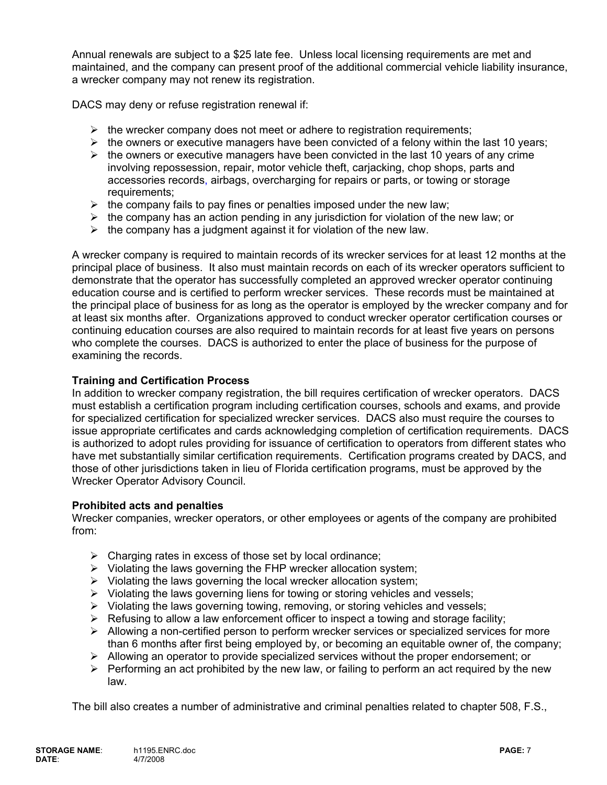Annual renewals are subject to a \$25 late fee. Unless local licensing requirements are met and maintained, and the company can present proof of the additional commercial vehicle liability insurance, a wrecker company may not renew its registration.

DACS may deny or refuse registration renewal if:

- $\triangleright$  the wrecker company does not meet or adhere to registration requirements;
- $\triangleright$  the owners or executive managers have been convicted of a felony within the last 10 years;
- $\triangleright$  the owners or executive managers have been convicted in the last 10 years of any crime involving repossession, repair, motor vehicle theft, carjacking, chop shops, parts and accessories records, airbags, overcharging for repairs or parts, or towing or storage requirements;
- $\triangleright$  the company fails to pay fines or penalties imposed under the new law;
- $\triangleright$  the company has an action pending in any jurisdiction for violation of the new law; or
- $\triangleright$  the company has a judgment against it for violation of the new law.

A wrecker company is required to maintain records of its wrecker services for at least 12 months at the principal place of business. It also must maintain records on each of its wrecker operators sufficient to demonstrate that the operator has successfully completed an approved wrecker operator continuing education course and is certified to perform wrecker services. These records must be maintained at the principal place of business for as long as the operator is employed by the wrecker company and for at least six months after. Organizations approved to conduct wrecker operator certification courses or continuing education courses are also required to maintain records for at least five years on persons who complete the courses. DACS is authorized to enter the place of business for the purpose of examining the records.

### **Training and Certification Process**

In addition to wrecker company registration, the bill requires certification of wrecker operators. DACS must establish a certification program including certification courses, schools and exams, and provide for specialized certification for specialized wrecker services. DACS also must require the courses to issue appropriate certificates and cards acknowledging completion of certification requirements. DACS is authorized to adopt rules providing for issuance of certification to operators from different states who have met substantially similar certification requirements. Certification programs created by DACS, and those of other jurisdictions taken in lieu of Florida certification programs, must be approved by the Wrecker Operator Advisory Council.

#### **Prohibited acts and penalties**

Wrecker companies, wrecker operators, or other employees or agents of the company are prohibited from:

- $\triangleright$  Charging rates in excess of those set by local ordinance;
- $\triangleright$  Violating the laws governing the FHP wrecker allocation system;
- $\triangleright$  Violating the laws governing the local wrecker allocation system;
- $\triangleright$  Violating the laws governing liens for towing or storing vehicles and vessels;
- $\triangleright$  Violating the laws governing towing, removing, or storing vehicles and vessels;
- $\triangleright$  Refusing to allow a law enforcement officer to inspect a towing and storage facility;
- $\triangleright$  Allowing a non-certified person to perform wrecker services or specialized services for more than 6 months after first being employed by, or becoming an equitable owner of, the company;
- $\triangleright$  Allowing an operator to provide specialized services without the proper endorsement; or
- $\triangleright$  Performing an act prohibited by the new law, or failing to perform an act required by the new law.

The bill also creates a number of administrative and criminal penalties related to chapter 508, F.S.,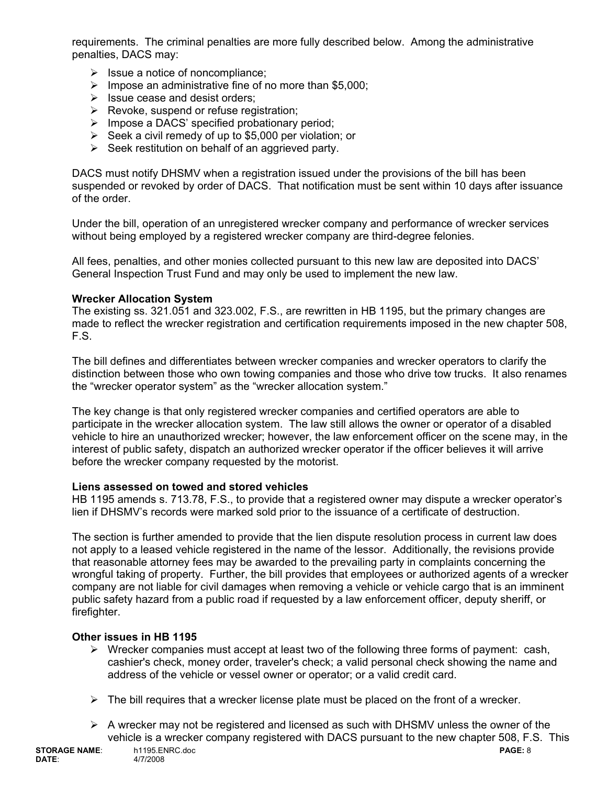requirements. The criminal penalties are more fully described below. Among the administrative penalties, DACS may:

- $\triangleright$  Issue a notice of noncompliance:
- $\triangleright$  Impose an administrative fine of no more than \$5,000;
- $\triangleright$  Issue cease and desist orders;
- $\triangleright$  Revoke, suspend or refuse registration;
- $\triangleright$  Impose a DACS' specified probationary period;
- $\triangleright$  Seek a civil remedy of up to \$5,000 per violation; or
- $\triangleright$  Seek restitution on behalf of an aggrieved party.

DACS must notify DHSMV when a registration issued under the provisions of the bill has been suspended or revoked by order of DACS. That notification must be sent within 10 days after issuance of the order.

Under the bill, operation of an unregistered wrecker company and performance of wrecker services without being employed by a registered wrecker company are third-degree felonies.

All fees, penalties, and other monies collected pursuant to this new law are deposited into DACS' General Inspection Trust Fund and may only be used to implement the new law.

## **Wrecker Allocation System**

The existing ss. 321.051 and 323.002, F.S., are rewritten in HB 1195, but the primary changes are made to reflect the wrecker registration and certification requirements imposed in the new chapter 508, F.S.

The bill defines and differentiates between wrecker companies and wrecker operators to clarify the distinction between those who own towing companies and those who drive tow trucks. It also renames the "wrecker operator system" as the "wrecker allocation system."

The key change is that only registered wrecker companies and certified operators are able to participate in the wrecker allocation system. The law still allows the owner or operator of a disabled vehicle to hire an unauthorized wrecker; however, the law enforcement officer on the scene may, in the interest of public safety, dispatch an authorized wrecker operator if the officer believes it will arrive before the wrecker company requested by the motorist.

## **Liens assessed on towed and stored vehicles**

HB 1195 amends s. 713.78, F.S., to provide that a registered owner may dispute a wrecker operator's lien if DHSMV's records were marked sold prior to the issuance of a certificate of destruction.

The section is further amended to provide that the lien dispute resolution process in current law does not apply to a leased vehicle registered in the name of the lessor. Additionally, the revisions provide that reasonable attorney fees may be awarded to the prevailing party in complaints concerning the wrongful taking of property. Further, the bill provides that employees or authorized agents of a wrecker company are not liable for civil damages when removing a vehicle or vehicle cargo that is an imminent public safety hazard from a public road if requested by a law enforcement officer, deputy sheriff, or firefighter.

## **Other issues in HB 1195**

- $\triangleright$  Wrecker companies must accept at least two of the following three forms of payment: cash, cashier's check, money order, traveler's check; a valid personal check showing the name and address of the vehicle or vessel owner or operator; or a valid credit card.
- $\triangleright$  The bill requires that a wrecker license plate must be placed on the front of a wrecker.
- $\triangleright$  A wrecker may not be registered and licensed as such with DHSMV unless the owner of the vehicle is a wrecker company registered with DACS pursuant to the new chapter 508, F.S. This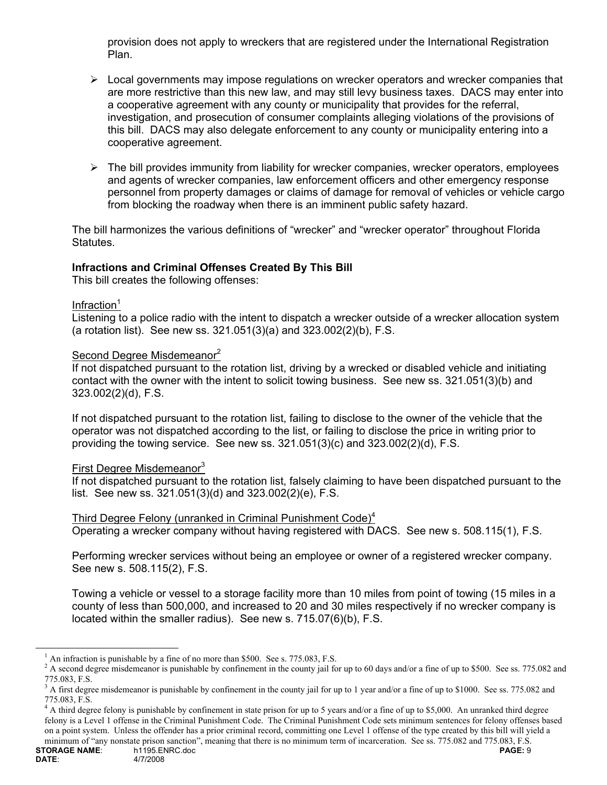provision does not apply to wreckers that are registered under the International Registration Plan.

- $\triangleright$  Local governments may impose regulations on wrecker operators and wrecker companies that are more restrictive than this new law, and may still levy business taxes. DACS may enter into a cooperative agreement with any county or municipality that provides for the referral, investigation, and prosecution of consumer complaints alleging violations of the provisions of this bill. DACS may also delegate enforcement to any county or municipality entering into a cooperative agreement.
- $\triangleright$  The bill provides immunity from liability for wrecker companies, wrecker operators, employees and agents of wrecker companies, law enforcement officers and other emergency response personnel from property damages or claims of damage for removal of vehicles or vehicle cargo from blocking the roadway when there is an imminent public safety hazard.

The bill harmonizes the various definitions of "wrecker" and "wrecker operator" throughout Florida **Statutes** 

# **Infractions and Criminal Offenses Created By This Bill**

This bill creates the following offenses:

## Infraction $1$

Listening to a police radio with the intent to dispatch a wrecker outside of a wrecker allocation system (a rotation list). See new ss. 321.051(3)(a) and 323.002(2)(b), F.S.

## Second Degree Misdemeanor<sup>2</sup>

If not dispatched pursuant to the rotation list, driving by a wrecked or disabled vehicle and initiating contact with the owner with the intent to solicit towing business. See new ss. 321.051(3)(b) and 323.002(2)(d), F.S.

If not dispatched pursuant to the rotation list, failing to disclose to the owner of the vehicle that the operator was not dispatched according to the list, or failing to disclose the price in writing prior to providing the towing service. See new ss.  $321.051(3)(c)$  and  $323.002(2)(d)$ , F.S.

## First Degree Misdemeanor<sup>3</sup>

If not dispatched pursuant to the rotation list, falsely claiming to have been dispatched pursuant to the list. See new ss. 321.051(3)(d) and 323.002(2)(e), F.S.

Third Degree Felony (unranked in Criminal Punishment Code)<sup>4</sup> Operating a wrecker company without having registered with DACS. See new s. 508.115(1), F.S.

Performing wrecker services without being an employee or owner of a registered wrecker company. See new s. 508.115(2), F.S.

Towing a vehicle or vessel to a storage facility more than 10 miles from point of towing (15 miles in a county of less than 500,000, and increased to 20 and 30 miles respectively if no wrecker company is located within the smaller radius). See new s. 715.07(6)(b), F.S.

 $\frac{1}{1}$ An infraction is punishable by a fine of no more than \$500. See s. 775.083, F.S.  $\frac{2}{3}$  A second degree misdemeaner is punishable by confinement in the countries

 $^2$  A second degree misdemeanor is punishable by confinement in the county jail for up to 60 days and/or a fine of up to \$500. See ss. 775.082 and

<sup>775.083,</sup> F.S.<br><sup>3</sup> A first degree misdemeanor is punishable by confinement in the county jail for up to 1 year and/or a fine of up to \$1000. See ss. 775.082 and 775.083, F.S.

<sup>&</sup>lt;sup>4</sup> A third degree felony is punishable by confinement in state prison for up to 5 years and/or a fine of up to \$5,000. An unranked third degree felony is a Level 1 offense in the Criminal Punishment Code. The Criminal Punishment Code sets minimum sentences for felony offenses based on a point system. Unless the offender has a prior criminal record, committing one Level 1 offense of the type created by this bill will yield a minimum of "any nonstate prison sanction", meaning that there is no minimum term of incarceration. See ss. 775.082 and 775.083, F.S.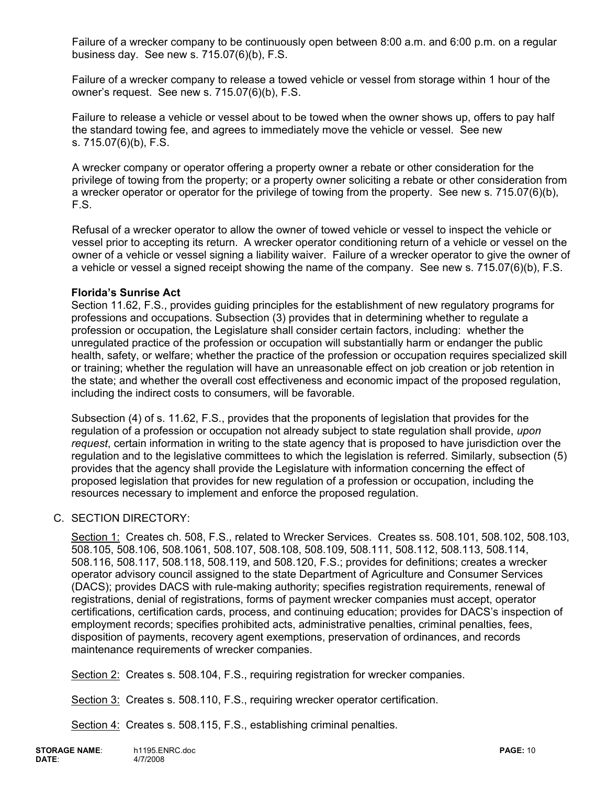Failure of a wrecker company to be continuously open between 8:00 a.m. and 6:00 p.m. on a regular business day. See new s. 715.07(6)(b), F.S.

Failure of a wrecker company to release a towed vehicle or vessel from storage within 1 hour of the owner's request. See new s. 715.07(6)(b), F.S.

Failure to release a vehicle or vessel about to be towed when the owner shows up, offers to pay half the standard towing fee, and agrees to immediately move the vehicle or vessel. See new s. 715.07(6)(b), F.S.

A wrecker company or operator offering a property owner a rebate or other consideration for the privilege of towing from the property; or a property owner soliciting a rebate or other consideration from a wrecker operator or operator for the privilege of towing from the property. See new s. 715.07(6)(b), F.S.

Refusal of a wrecker operator to allow the owner of towed vehicle or vessel to inspect the vehicle or vessel prior to accepting its return. A wrecker operator conditioning return of a vehicle or vessel on the owner of a vehicle or vessel signing a liability waiver. Failure of a wrecker operator to give the owner of a vehicle or vessel a signed receipt showing the name of the company. See new s. 715.07(6)(b), F.S.

### **Florida's Sunrise Act**

Section 11.62, F.S., provides guiding principles for the establishment of new regulatory programs for professions and occupations. Subsection (3) provides that in determining whether to regulate a profession or occupation, the Legislature shall consider certain factors, including: whether the unregulated practice of the profession or occupation will substantially harm or endanger the public health, safety, or welfare; whether the practice of the profession or occupation requires specialized skill or training; whether the regulation will have an unreasonable effect on job creation or job retention in the state; and whether the overall cost effectiveness and economic impact of the proposed regulation, including the indirect costs to consumers, will be favorable.

Subsection (4) of s. 11.62, F.S., provides that the proponents of legislation that provides for the regulation of a profession or occupation not already subject to state regulation shall provide, *upon request*, certain information in writing to the state agency that is proposed to have jurisdiction over the regulation and to the legislative committees to which the legislation is referred. Similarly, subsection (5) provides that the agency shall provide the Legislature with information concerning the effect of proposed legislation that provides for new regulation of a profession or occupation, including the resources necessary to implement and enforce the proposed regulation.

## C. SECTION DIRECTORY:

Section 1: Creates ch. 508, F.S., related to Wrecker Services. Creates ss. 508.101, 508.102, 508.103, 508.105, 508.106, 508.1061, 508.107, 508.108, 508.109, 508.111, 508.112, 508.113, 508.114, 508.116, 508.117, 508.118, 508.119, and 508.120, F.S.; provides for definitions; creates a wrecker operator advisory council assigned to the state Department of Agriculture and Consumer Services (DACS); provides DACS with rule-making authority; specifies registration requirements, renewal of registrations, denial of registrations, forms of payment wrecker companies must accept, operator certifications, certification cards, process, and continuing education; provides for DACS's inspection of employment records; specifies prohibited acts, administrative penalties, criminal penalties, fees, disposition of payments, recovery agent exemptions, preservation of ordinances, and records maintenance requirements of wrecker companies.

Section 2: Creates s. 508.104, F.S., requiring registration for wrecker companies.

Section 3: Creates s. 508.110, F.S., requiring wrecker operator certification.

Section 4: Creates s. 508.115, F.S., establishing criminal penalties.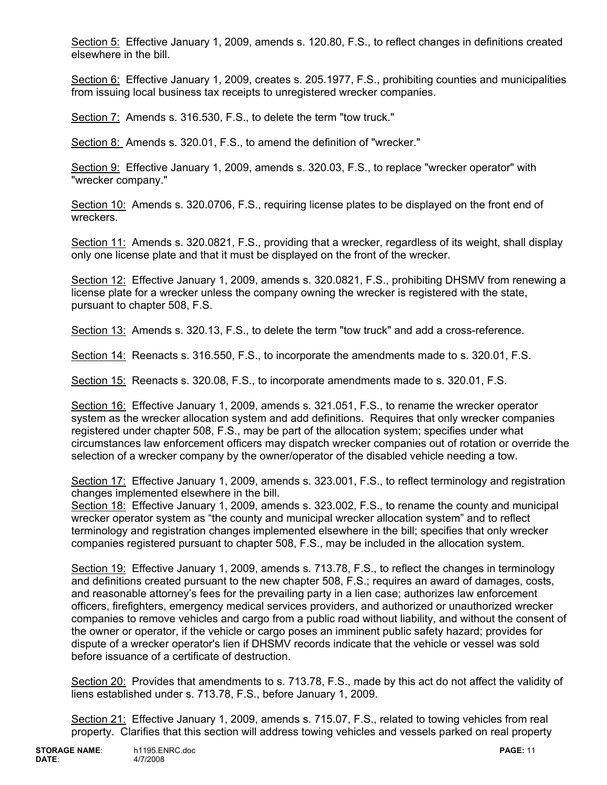Section 5: Effective January 1, 2009, amends s. 120.80, F.S., to reflect changes in definitions created elsewhere in the bill.

Section 6: Effective January 1, 2009, creates s. 205.1977, F.S., prohibiting counties and municipalities from issuing local business tax receipts to unregistered wrecker companies.

Section 7: Amends s. 316.530, F.S., to delete the term "tow truck."

Section 8: Amends s. 320.01, F.S., to amend the definition of "wrecker."

Section 9: Effective January 1, 2009, amends s. 320.03, F.S., to replace "wrecker operator" with "wrecker company."

Section 10: Amends s. 320.0706, F.S., requiring license plates to be displayed on the front end of wreckers.

Section 11: Amends s. 320.0821, F.S., providing that a wrecker, regardless of its weight, shall display only one license plate and that it must be displayed on the front of the wrecker.

Section 12: Effective January 1, 2009, amends s. 320.0821, F.S., prohibiting DHSMV from renewing a license plate for a wrecker unless the company owning the wrecker is registered with the state, pursuant to chapter 508, F.S.

Section 13: Amends s. 320.13, F.S., to delete the term "tow truck" and add a cross-reference.

Section 14: Reenacts s. 316.550, F.S., to incorporate the amendments made to s. 320.01, F.S.

Section 15: Reenacts s. 320.08, F.S., to incorporate amendments made to s. 320.01, F.S.

Section 16: Effective January 1, 2009, amends s. 321.051, F.S., to rename the wrecker operator system as the wrecker allocation system and add definitions. Requires that only wrecker companies registered under chapter 508, F.S., may be part of the allocation system; specifies under what circumstances law enforcement officers may dispatch wrecker companies out of rotation or override the selection of a wrecker company by the owner/operator of the disabled vehicle needing a tow.

Section 17: Effective January 1, 2009, amends s. 323.001, F.S., to reflect terminology and registration changes implemented elsewhere in the bill.

Section 18: Effective January 1, 2009, amends s. 323.002, F.S., to rename the county and municipal wrecker operator system as "the county and municipal wrecker allocation system" and to reflect terminology and registration changes implemented elsewhere in the bill; specifies that only wrecker companies registered pursuant to chapter 508, F.S., may be included in the allocation system.

Section 19: Effective January 1, 2009, amends s. 713.78, F.S., to reflect the changes in terminology and definitions created pursuant to the new chapter 508, F.S.; requires an award of damages, costs, and reasonable attorney's fees for the prevailing party in a lien case; authorizes law enforcement officers, firefighters, emergency medical services providers, and authorized or unauthorized wrecker companies to remove vehicles and cargo from a public road without liability, and without the consent of the owner or operator, if the vehicle or cargo poses an imminent public safety hazard; provides for dispute of a wrecker operator's lien if DHSMV records indicate that the vehicle or vessel was sold before issuance of a certificate of destruction.

Section 20: Provides that amendments to s. 713.78, F.S., made by this act do not affect the validity of liens established under s. 713.78, F.S., before January 1, 2009.

Section 21: Effective January 1, 2009, amends s. 715.07, F.S., related to towing vehicles from real property. Clarifies that this section will address towing vehicles and vessels parked on real property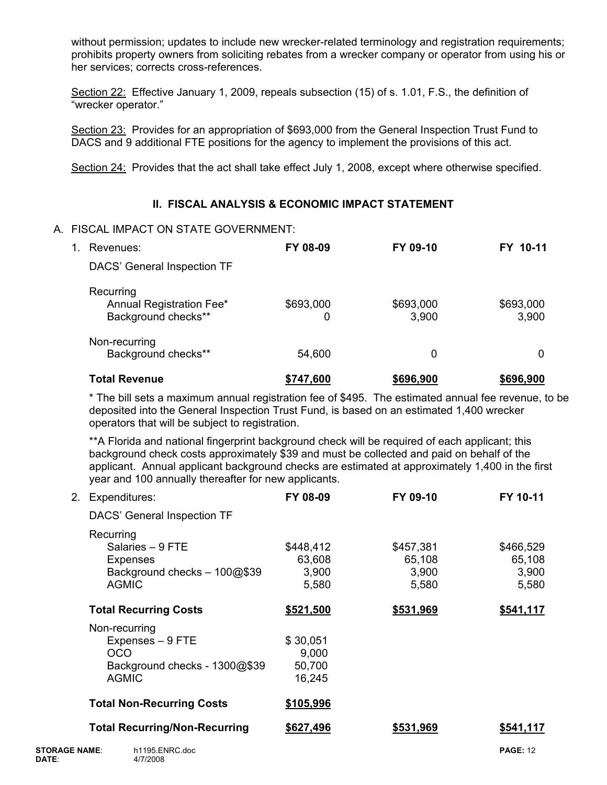without permission; updates to include new wrecker-related terminology and registration requirements; prohibits property owners from soliciting rebates from a wrecker company or operator from using his or her services; corrects cross-references.

Section 22: Effective January 1, 2009, repeals subsection (15) of s. 1.01, F.S., the definition of "wrecker operator."

Section 23: Provides for an appropriation of \$693,000 from the General Inspection Trust Fund to DACS and 9 additional FTE positions for the agency to implement the provisions of this act.

Section 24: Provides that the act shall take effect July 1, 2008, except where otherwise specified.

### **II. FISCAL ANALYSIS & ECONOMIC IMPACT STATEMENT**

#### A. FISCAL IMPACT ON STATE GOVERNMENT:

**DATE**: 4/7/2008

| Revenues:                                                    | FY 08-09       | FY 09-10           | FY 10-11           |
|--------------------------------------------------------------|----------------|--------------------|--------------------|
| DACS' General Inspection TF                                  |                |                    |                    |
| Recurring<br>Annual Registration Fee*<br>Background checks** | \$693,000<br>0 | \$693,000<br>3,900 | \$693,000<br>3,900 |
| Non-recurring<br>Background checks**                         | 54,600         | 0                  | 0                  |
| <b>Total Revenue</b>                                         | \$747,600      | \$696,900          | \$696,900          |

\* The bill sets a maximum annual registration fee of \$495. The estimated annual fee revenue, to be deposited into the General Inspection Trust Fund, is based on an estimated 1,400 wrecker operators that will be subject to registration.

\*\*A Florida and national fingerprint background check will be required of each applicant; this background check costs approximately \$39 and must be collected and paid on behalf of the applicant. Annual applicant background checks are estimated at approximately 1,400 in the first year and 100 annually thereafter for new applicants.

|                      | 2. Expenditures:                                                                                 | FY 08-09                              | FY 09-10                              | FY 10-11                              |
|----------------------|--------------------------------------------------------------------------------------------------|---------------------------------------|---------------------------------------|---------------------------------------|
|                      | DACS' General Inspection TF                                                                      |                                       |                                       |                                       |
|                      | Recurring<br>Salaries - 9 FTE<br><b>Expenses</b><br>Background checks - 100@\$39<br><b>AGMIC</b> | \$448,412<br>63,608<br>3,900<br>5,580 | \$457,381<br>65,108<br>3,900<br>5,580 | \$466,529<br>65,108<br>3,900<br>5,580 |
|                      | <b>Total Recurring Costs</b>                                                                     | \$521,500                             | \$531,969                             | \$541,117                             |
|                      | Non-recurring<br>Expenses - 9 FTE<br><b>OCO</b><br>Background checks - 1300@\$39<br><b>AGMIC</b> | \$30,051<br>9,000<br>50,700<br>16,245 |                                       |                                       |
|                      | <b>Total Non-Recurring Costs</b>                                                                 | \$105,996                             |                                       |                                       |
|                      | <b>Total Recurring/Non-Recurring</b>                                                             | \$627,496                             | \$531,969                             | \$541,117                             |
| <b>STORAGE NAME:</b> | h1195.ENRC.doc                                                                                   |                                       |                                       | <b>PAGE: 12</b>                       |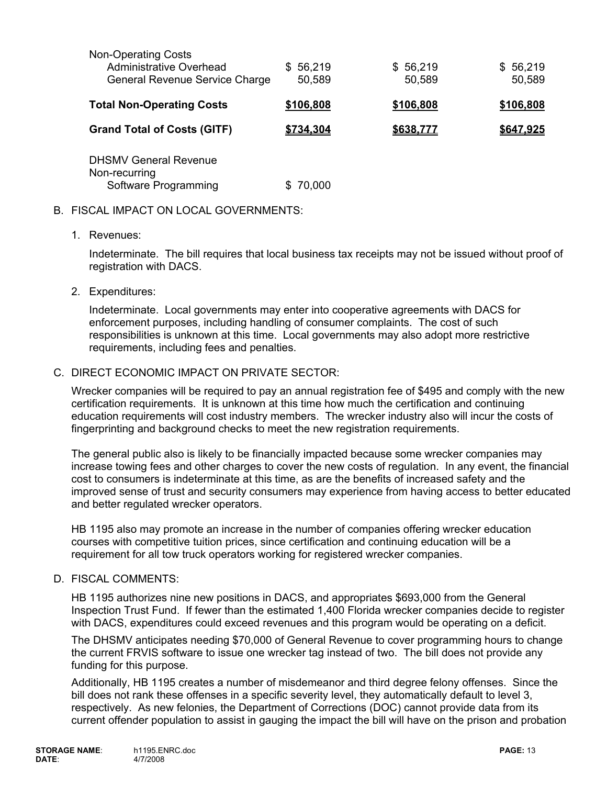|           |                  | \$56,219                                     |
|-----------|------------------|----------------------------------------------|
|           |                  | 50,589                                       |
| \$106,808 |                  | \$106,808                                    |
| \$734.304 |                  | \$647.925                                    |
|           |                  |                                              |
|           |                  |                                              |
|           |                  |                                              |
| 70,000    |                  |                                              |
|           | 56,219<br>50,589 | \$56,219<br>50,589<br>\$106,808<br>\$638.777 |

### B. FISCAL IMPACT ON LOCAL GOVERNMENTS:

#### 1. Revenues:

Indeterminate. The bill requires that local business tax receipts may not be issued without proof of registration with DACS.

2. Expenditures:

Indeterminate. Local governments may enter into cooperative agreements with DACS for enforcement purposes, including handling of consumer complaints. The cost of such responsibilities is unknown at this time. Local governments may also adopt more restrictive requirements, including fees and penalties.

### C. DIRECT ECONOMIC IMPACT ON PRIVATE SECTOR:

Wrecker companies will be required to pay an annual registration fee of \$495 and comply with the new certification requirements. It is unknown at this time how much the certification and continuing education requirements will cost industry members. The wrecker industry also will incur the costs of fingerprinting and background checks to meet the new registration requirements.

The general public also is likely to be financially impacted because some wrecker companies may increase towing fees and other charges to cover the new costs of regulation. In any event, the financial cost to consumers is indeterminate at this time, as are the benefits of increased safety and the improved sense of trust and security consumers may experience from having access to better educated and better regulated wrecker operators.

HB 1195 also may promote an increase in the number of companies offering wrecker education courses with competitive tuition prices, since certification and continuing education will be a requirement for all tow truck operators working for registered wrecker companies.

#### D. FISCAL COMMENTS:

HB 1195 authorizes nine new positions in DACS, and appropriates \$693,000 from the General Inspection Trust Fund. If fewer than the estimated 1,400 Florida wrecker companies decide to register with DACS, expenditures could exceed revenues and this program would be operating on a deficit.

The DHSMV anticipates needing \$70,000 of General Revenue to cover programming hours to change the current FRVIS software to issue one wrecker tag instead of two. The bill does not provide any funding for this purpose.

Additionally, HB 1195 creates a number of misdemeanor and third degree felony offenses. Since the bill does not rank these offenses in a specific severity level, they automatically default to level 3, respectively. As new felonies, the Department of Corrections (DOC) cannot provide data from its current offender population to assist in gauging the impact the bill will have on the prison and probation